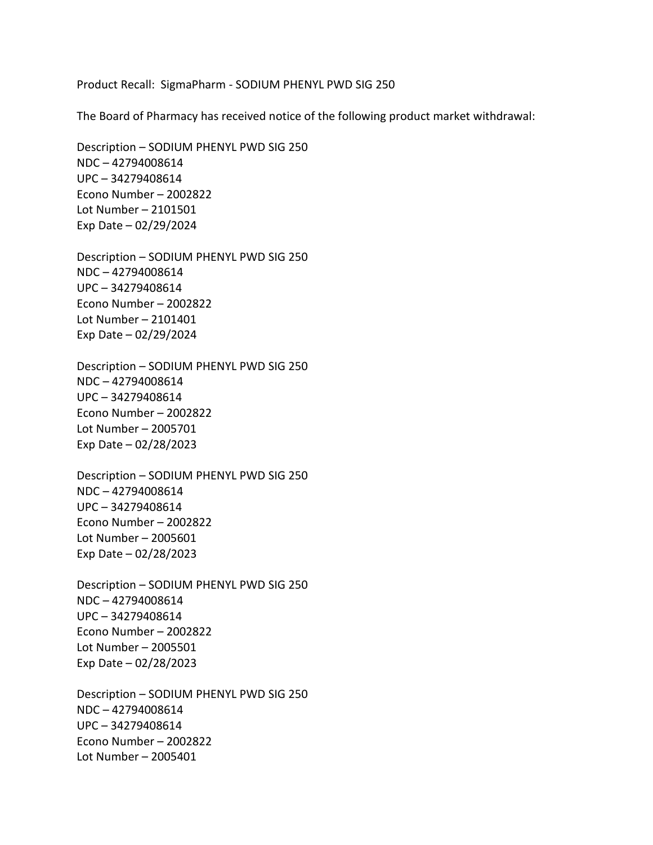Product Recall: SigmaPharm - SODIUM PHENYL PWD SIG 250

The Board of Pharmacy has received notice of the following product market withdrawal:

 Econo Number – 2002822 Lot Number – 2101501 Exp Date – 02/29/2024 Description – SODIUM PHENYL PWD SIG 250 NDC – 42794008614 UPC – 34279408614

 Econo Number – 2002822 Lot Number – 2101401 Exp Date – 02/29/2024 Description – SODIUM PHENYL PWD SIG 250 NDC – 42794008614 UPC – 34279408614

 Econo Number – 2002822 Lot Number – 2005701 Exp Date – 02/28/2023 Description – SODIUM PHENYL PWD SIG 250 NDC – 42794008614 UPC – 34279408614

 Econo Number – 2002822 Lot Number – 2005601 Exp Date – 02/28/2023 Description – SODIUM PHENYL PWD SIG 250 NDC – 42794008614 UPC – 34279408614

 Econo Number – 2002822 Lot Number – 2005501 Exp Date – 02/28/2023 Description – SODIUM PHENYL PWD SIG 250 NDC – 42794008614 UPC – 34279408614

 Econo Number – 2002822 Lot Number – 2005401 Description – SODIUM PHENYL PWD SIG 250 NDC – 42794008614 UPC – 34279408614